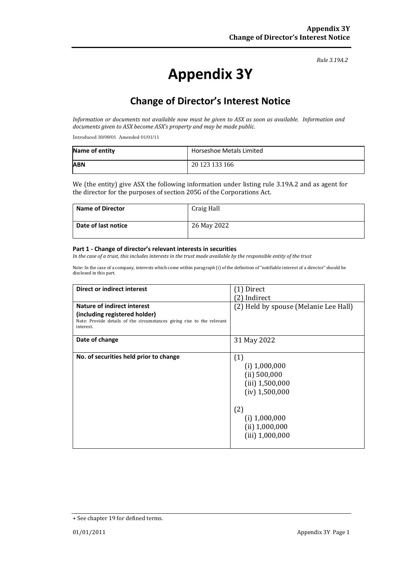#### *Rule 3.19A.2*

# **Appendix 3Y**

# **Change of Director's Interest Notice**

*Information or documents not available now must be given to ASX as soon as available. Information and documents given to ASX become ASX's property and may be made public.*

Introduced 30/09/01 Amended 01/01/11

| Name of entity | Horseshoe Metals Limited |
|----------------|--------------------------|
| <b>ABN</b>     | 20 123 133 166           |

We (the entity) give ASX the following information under listing rule 3.19A.2 and as agent for the director for the purposes of section 205G of the Corporations Act.

| <b>Name of Director</b> | Craig Hall  |
|-------------------------|-------------|
| Date of last notice     | 26 May 2022 |

#### **Part 1 - Change of director's relevant interests in securities**

*In the case of a trust, this includes interests in the trust made available by the responsible entity of the trust*

Note: In the case of a company, interests which come within paragraph (i) of the definition of "notifiable interest of a director" should be disclosed in this part.

| <b>Direct or indirect interest</b>                                                  | [1] Direct                            |
|-------------------------------------------------------------------------------------|---------------------------------------|
|                                                                                     | [2] Indirect                          |
| Nature of indirect interest                                                         | (2) Held by spouse (Melanie Lee Hall) |
| (including registered holder)                                                       |                                       |
| Note: Provide details of the circumstances giving rise to the relevant<br>interest. |                                       |
| Date of change                                                                      | 31 May 2022                           |
| No. of securities held prior to change                                              | (1)                                   |
|                                                                                     | $(i)$ 1,000,000                       |
|                                                                                     | (ii) 500,000                          |
|                                                                                     | $(iii)$ 1,500,000                     |
|                                                                                     |                                       |
|                                                                                     | $(iv)$ 1,500,000                      |
|                                                                                     |                                       |
|                                                                                     | (2)                                   |
|                                                                                     | $(i)$ 1,000,000                       |
|                                                                                     | (ii) 1,000,000                        |
|                                                                                     | $(iii)$ 1,000,000                     |
|                                                                                     |                                       |

<sup>+</sup> See chapter 19 for defined terms.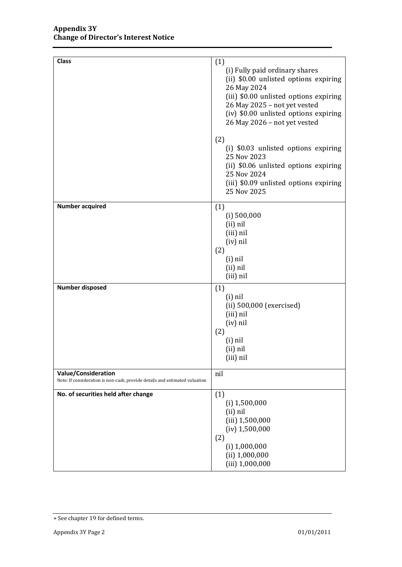| <b>Class</b>                                                                                              | (1)<br>(i) Fully paid ordinary shares<br>(ii) \$0.00 unlisted options expiring<br>26 May 2024<br>(iii) \$0.00 unlisted options expiring<br>26 May 2025 - not yet vested<br>(iv) \$0.00 unlisted options expiring<br>26 May 2026 - not yet vested |
|-----------------------------------------------------------------------------------------------------------|--------------------------------------------------------------------------------------------------------------------------------------------------------------------------------------------------------------------------------------------------|
|                                                                                                           | (2)<br>(i) \$0.03 unlisted options expiring<br>25 Nov 2023<br>(ii) \$0.06 unlisted options expiring<br>25 Nov 2024<br>(iii) \$0.09 unlisted options expiring<br>25 Nov 2025                                                                      |
| <b>Number acquired</b>                                                                                    | (1)<br>$(i)$ 500,000<br>(ii) nil<br>(iii) nil<br>$(iv)$ nil<br>(2)<br>$(i)$ nil<br>(ii) nil<br>(iii) nil                                                                                                                                         |
| <b>Number disposed</b>                                                                                    | (1)<br>$(i)$ nil<br>(ii) 500,000 (exercised)<br>(iii) nil<br>(iv) nil<br>(2)<br>$(i)$ nil<br>(ii) nil<br>(iii) nil                                                                                                                               |
| <b>Value/Consideration</b><br>Note: If consideration is non-cash, provide details and estimated valuation | nil                                                                                                                                                                                                                                              |
| No. of securities held after change                                                                       | (1)<br>$(i)$ 1,500,000<br>(ii) nil<br>(iii) 1,500,000<br>$(iv)$ 1,500,000<br>(2)<br>$(i)$ 1,000,000<br>$(ii)$ 1,000,000<br>$(iii)$ 1,000,000                                                                                                     |

<sup>+</sup> See chapter 19 for defined terms.